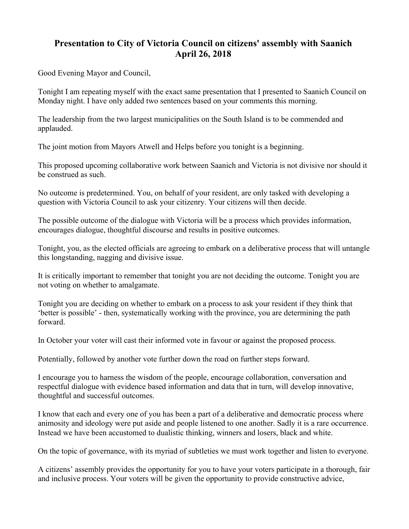## **Presentation to City of Victoria Council on citizens' assembly with Saanich April 26, 2018**

Good Evening Mayor and Council,

Tonight I am repeating myself with the exact same presentation that I presented to Saanich Council on Monday night. I have only added two sentences based on your comments this morning.

The leadership from the two largest municipalities on the South Island is to be commended and applauded.

The joint motion from Mayors Atwell and Helps before you tonight is a beginning.

This proposed upcoming collaborative work between Saanich and Victoria is not divisive nor should it be construed as such.

No outcome is predetermined. You, on behalf of your resident, are only tasked with developing a question with Victoria Council to ask your citizenry. Your citizens will then decide.

The possible outcome of the dialogue with Victoria will be a process which provides information, encourages dialogue, thoughtful discourse and results in positive outcomes.

Tonight, you, as the elected officials are agreeing to embark on a deliberative process that will untangle this longstanding, nagging and divisive issue.

It is critically important to remember that tonight you are not deciding the outcome. Tonight you are not voting on whether to amalgamate.

Tonight you are deciding on whether to embark on a process to ask your resident if they think that 'better is possible' - then, systematically working with the province, you are determining the path forward.

In October your voter will cast their informed vote in favour or against the proposed process.

Potentially, followed by another vote further down the road on further steps forward.

I encourage you to harness the wisdom of the people, encourage collaboration, conversation and respectful dialogue with evidence based information and data that in turn, will develop innovative, thoughtful and successful outcomes.

I know that each and every one of you has been a part of a deliberative and democratic process where animosity and ideology were put aside and people listened to one another. Sadly it is a rare occurrence. Instead we have been accustomed to dualistic thinking, winners and losers, black and white.

On the topic of governance, with its myriad of subtleties we must work together and listen to everyone.

A citizens' assembly provides the opportunity for you to have your voters participate in a thorough, fair and inclusive process. Your voters will be given the opportunity to provide constructive advice,